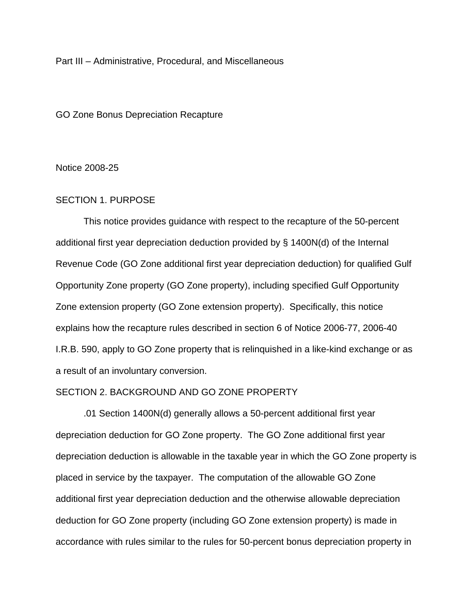Part III – Administrative, Procedural, and Miscellaneous

GO Zone Bonus Depreciation Recapture

#### Notice 2008-25

#### SECTION 1. PURPOSE

 This notice provides guidance with respect to the recapture of the 50-percent additional first year depreciation deduction provided by § 1400N(d) of the Internal Revenue Code (GO Zone additional first year depreciation deduction) for qualified Gulf Opportunity Zone property (GO Zone property), including specified Gulf Opportunity Zone extension property (GO Zone extension property). Specifically, this notice explains how the recapture rules described in section 6 of Notice 2006-77, 2006-40 I.R.B. 590, apply to GO Zone property that is relinquished in a like-kind exchange or as a result of an involuntary conversion.

#### SECTION 2. BACKGROUND AND GO ZONE PROPERTY

 .01 Section 1400N(d) generally allows a 50-percent additional first year depreciation deduction for GO Zone property. The GO Zone additional first year depreciation deduction is allowable in the taxable year in which the GO Zone property is placed in service by the taxpayer. The computation of the allowable GO Zone additional first year depreciation deduction and the otherwise allowable depreciation deduction for GO Zone property (including GO Zone extension property) is made in accordance with rules similar to the rules for 50-percent bonus depreciation property in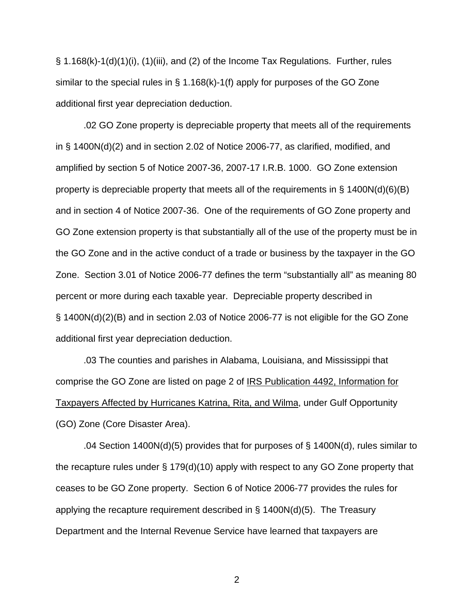$\S$  1.168(k)-1(d)(1)(i), (1)(iii), and (2) of the Income Tax Regulations. Further, rules similar to the special rules in  $\S$  1.168(k)-1(f) apply for purposes of the GO Zone additional first year depreciation deduction.

.02 GO Zone property is depreciable property that meets all of the requirements in § 1400N(d)(2) and in section 2.02 of Notice 2006-77, as clarified, modified, and amplified by section 5 of Notice 2007-36, 2007-17 I.R.B. 1000. GO Zone extension property is depreciable property that meets all of the requirements in § 1400N(d)(6)(B) and in section 4 of Notice 2007-36. One of the requirements of GO Zone property and GO Zone extension property is that substantially all of the use of the property must be in the GO Zone and in the active conduct of a trade or business by the taxpayer in the GO Zone. Section 3.01 of Notice 2006-77 defines the term "substantially all" as meaning 80 percent or more during each taxable year. Depreciable property described in § 1400N(d)(2)(B) and in section 2.03 of Notice 2006-77 is not eligible for the GO Zone additional first year depreciation deduction.

.03 The counties and parishes in Alabama, Louisiana, and Mississippi that comprise the GO Zone are listed on page 2 of IRS Publication 4492, Information for Taxpayers Affected by Hurricanes Katrina, Rita, and Wilma, under Gulf Opportunity (GO) Zone (Core Disaster Area).

 .04 Section 1400N(d)(5) provides that for purposes of § 1400N(d), rules similar to the recapture rules under § 179(d)(10) apply with respect to any GO Zone property that ceases to be GO Zone property. Section 6 of Notice 2006-77 provides the rules for applying the recapture requirement described in  $\S$  1400N(d)(5). The Treasury Department and the Internal Revenue Service have learned that taxpayers are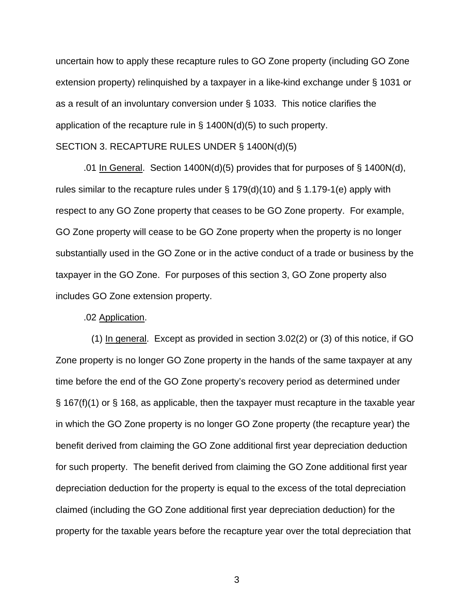uncertain how to apply these recapture rules to GO Zone property (including GO Zone extension property) relinquished by a taxpayer in a like-kind exchange under § 1031 or as a result of an involuntary conversion under § 1033. This notice clarifies the application of the recapture rule in § 1400N(d)(5) to such property. SECTION 3. RECAPTURE RULES UNDER § 1400N(d)(5)

.01 In General. Section 1400N(d)(5) provides that for purposes of  $\S$  1400N(d), rules similar to the recapture rules under  $\S 179(d)(10)$  and  $\S 1.179-1(e)$  apply with respect to any GO Zone property that ceases to be GO Zone property. For example, GO Zone property will cease to be GO Zone property when the property is no longer substantially used in the GO Zone or in the active conduct of a trade or business by the taxpayer in the GO Zone. For purposes of this section 3, GO Zone property also includes GO Zone extension property.

#### .02 Application.

(1) In general. Except as provided in section  $3.02(2)$  or (3) of this notice, if GO Zone property is no longer GO Zone property in the hands of the same taxpayer at any time before the end of the GO Zone property's recovery period as determined under § 167(f)(1) or § 168, as applicable, then the taxpayer must recapture in the taxable year in which the GO Zone property is no longer GO Zone property (the recapture year) the benefit derived from claiming the GO Zone additional first year depreciation deduction for such property. The benefit derived from claiming the GO Zone additional first year depreciation deduction for the property is equal to the excess of the total depreciation claimed (including the GO Zone additional first year depreciation deduction) for the property for the taxable years before the recapture year over the total depreciation that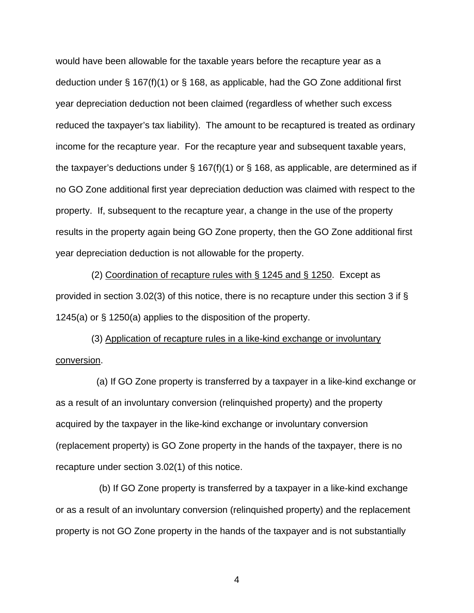would have been allowable for the taxable years before the recapture year as a deduction under § 167(f)(1) or § 168, as applicable, had the GO Zone additional first year depreciation deduction not been claimed (regardless of whether such excess reduced the taxpayer's tax liability). The amount to be recaptured is treated as ordinary income for the recapture year. For the recapture year and subsequent taxable years, the taxpayer's deductions under  $\S$  167(f)(1) or  $\S$  168, as applicable, are determined as if no GO Zone additional first year depreciation deduction was claimed with respect to the property. If, subsequent to the recapture year, a change in the use of the property results in the property again being GO Zone property, then the GO Zone additional first year depreciation deduction is not allowable for the property.

 (2) Coordination of recapture rules with § 1245 and § 1250. Except as provided in section 3.02(3) of this notice, there is no recapture under this section 3 if § 1245(a) or § 1250(a) applies to the disposition of the property.

 (3) Application of recapture rules in a like-kind exchange or involuntary conversion.

 (a) If GO Zone property is transferred by a taxpayer in a like-kind exchange or as a result of an involuntary conversion (relinquished property) and the property acquired by the taxpayer in the like-kind exchange or involuntary conversion (replacement property) is GO Zone property in the hands of the taxpayer, there is no recapture under section 3.02(1) of this notice.

 (b) If GO Zone property is transferred by a taxpayer in a like-kind exchange or as a result of an involuntary conversion (relinquished property) and the replacement property is not GO Zone property in the hands of the taxpayer and is not substantially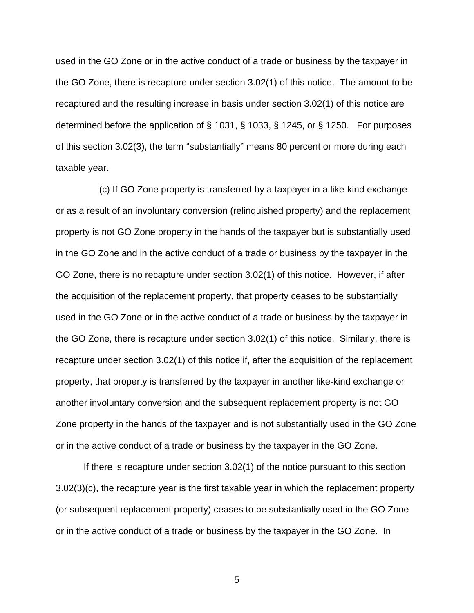used in the GO Zone or in the active conduct of a trade or business by the taxpayer in the GO Zone, there is recapture under section 3.02(1) of this notice. The amount to be recaptured and the resulting increase in basis under section 3.02(1) of this notice are determined before the application of § 1031, § 1033, § 1245, or § 1250. For purposes of this section 3.02(3), the term "substantially" means 80 percent or more during each taxable year.

 (c) If GO Zone property is transferred by a taxpayer in a like-kind exchange or as a result of an involuntary conversion (relinquished property) and the replacement property is not GO Zone property in the hands of the taxpayer but is substantially used in the GO Zone and in the active conduct of a trade or business by the taxpayer in the GO Zone, there is no recapture under section 3.02(1) of this notice. However, if after the acquisition of the replacement property, that property ceases to be substantially used in the GO Zone or in the active conduct of a trade or business by the taxpayer in the GO Zone, there is recapture under section 3.02(1) of this notice. Similarly, there is recapture under section 3.02(1) of this notice if, after the acquisition of the replacement property, that property is transferred by the taxpayer in another like-kind exchange or another involuntary conversion and the subsequent replacement property is not GO Zone property in the hands of the taxpayer and is not substantially used in the GO Zone or in the active conduct of a trade or business by the taxpayer in the GO Zone.

If there is recapture under section 3.02(1) of the notice pursuant to this section 3.02(3)(c), the recapture year is the first taxable year in which the replacement property (or subsequent replacement property) ceases to be substantially used in the GO Zone or in the active conduct of a trade or business by the taxpayer in the GO Zone. In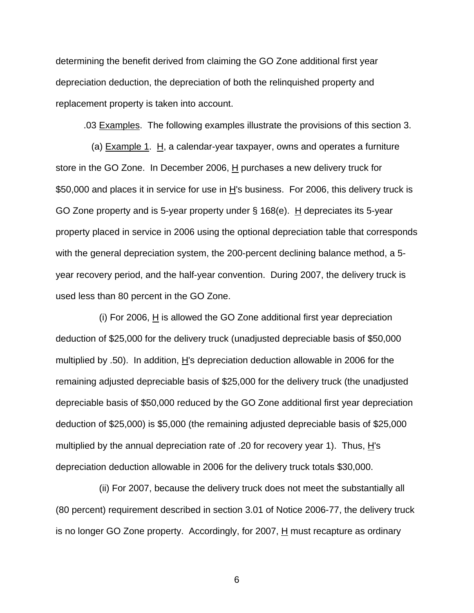determining the benefit derived from claiming the GO Zone additional first year depreciation deduction, the depreciation of both the relinquished property and replacement property is taken into account.

.03 Examples. The following examples illustrate the provisions of this section 3.

(a)  $Example 1$ . H, a calendar-year taxpayer, owns and operates a furniture store in the GO Zone. In December 2006,  $H$  purchases a new delivery truck for \$50,000 and places it in service for use in H's business. For 2006, this delivery truck is GO Zone property and is 5-year property under § 168(e). H depreciates its 5-year property placed in service in 2006 using the optional depreciation table that corresponds with the general depreciation system, the 200-percent declining balance method, a 5 year recovery period, and the half-year convention. During 2007, the delivery truck is used less than 80 percent in the GO Zone.

 (i) For 2006, H is allowed the GO Zone additional first year depreciation deduction of \$25,000 for the delivery truck (unadjusted depreciable basis of \$50,000 multiplied by .50). In addition,  $H$ 's depreciation deduction allowable in 2006 for the remaining adjusted depreciable basis of \$25,000 for the delivery truck (the unadjusted depreciable basis of \$50,000 reduced by the GO Zone additional first year depreciation deduction of \$25,000) is \$5,000 (the remaining adjusted depreciable basis of \$25,000 multiplied by the annual depreciation rate of .20 for recovery year 1). Thus,  $H$ 's depreciation deduction allowable in 2006 for the delivery truck totals \$30,000.

 (ii) For 2007, because the delivery truck does not meet the substantially all (80 percent) requirement described in section 3.01 of Notice 2006-77, the delivery truck is no longer GO Zone property. Accordingly, for 2007,  $H$  must recapture as ordinary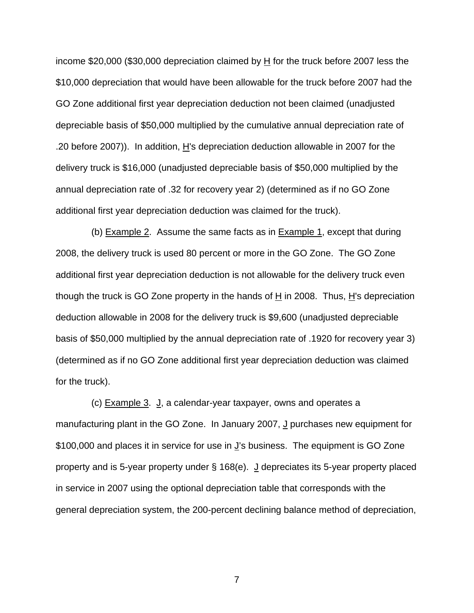income \$20,000 (\$30,000 depreciation claimed by H for the truck before 2007 less the \$10,000 depreciation that would have been allowable for the truck before 2007 had the GO Zone additional first year depreciation deduction not been claimed (unadjusted depreciable basis of \$50,000 multiplied by the cumulative annual depreciation rate of .20 before 2007)). In addition, H's depreciation deduction allowable in 2007 for the delivery truck is \$16,000 (unadjusted depreciable basis of \$50,000 multiplied by the annual depreciation rate of .32 for recovery year 2) (determined as if no GO Zone additional first year depreciation deduction was claimed for the truck).

(b) Example 2. Assume the same facts as in Example 1, except that during 2008, the delivery truck is used 80 percent or more in the GO Zone. The GO Zone additional first year depreciation deduction is not allowable for the delivery truck even though the truck is GO Zone property in the hands of H in 2008. Thus, H's depreciation deduction allowable in 2008 for the delivery truck is \$9,600 (unadjusted depreciable basis of \$50,000 multiplied by the annual depreciation rate of .1920 for recovery year 3) (determined as if no GO Zone additional first year depreciation deduction was claimed for the truck).

(c) **Example 3. J**, a calendar-year taxpayer, owns and operates a manufacturing plant in the GO Zone. In January 2007, J purchases new equipment for \$100,000 and places it in service for use in J's business. The equipment is GO Zone property and is 5-year property under  $\S$  168(e).  $\frac{J}{d}$  depreciates its 5-year property placed in service in 2007 using the optional depreciation table that corresponds with the general depreciation system, the 200-percent declining balance method of depreciation,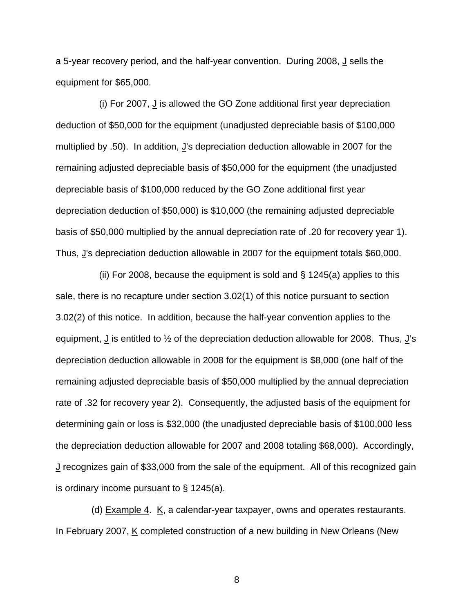a 5-year recovery period, and the half-year convention. During 2008, J sells the equipment for \$65,000.

 (i) For 2007, J is allowed the GO Zone additional first year depreciation deduction of \$50,000 for the equipment (unadjusted depreciable basis of \$100,000 multiplied by .50). In addition,  $\underline{J}$ 's depreciation deduction allowable in 2007 for the remaining adjusted depreciable basis of \$50,000 for the equipment (the unadjusted depreciable basis of \$100,000 reduced by the GO Zone additional first year depreciation deduction of \$50,000) is \$10,000 (the remaining adjusted depreciable basis of \$50,000 multiplied by the annual depreciation rate of .20 for recovery year 1). Thus, J's depreciation deduction allowable in 2007 for the equipment totals \$60,000.

 (ii) For 2008, because the equipment is sold and § 1245(a) applies to this sale, there is no recapture under section 3.02(1) of this notice pursuant to section 3.02(2) of this notice. In addition, because the half-year convention applies to the equipment,  $\frac{J}{v}$  is entitled to  $\frac{1}{2}$  of the depreciation deduction allowable for 2008. Thus,  $\frac{J}{s}$ depreciation deduction allowable in 2008 for the equipment is \$8,000 (one half of the remaining adjusted depreciable basis of \$50,000 multiplied by the annual depreciation rate of .32 for recovery year 2). Consequently, the adjusted basis of the equipment for determining gain or loss is \$32,000 (the unadjusted depreciable basis of \$100,000 less the depreciation deduction allowable for 2007 and 2008 totaling \$68,000). Accordingly, J recognizes gain of \$33,000 from the sale of the equipment. All of this recognized gain is ordinary income pursuant to § 1245(a).

(d)  $Example 4. K$ , a calendar-year taxpayer, owns and operates restaurants. In February 2007,  $K$  completed construction of a new building in New Orleans (New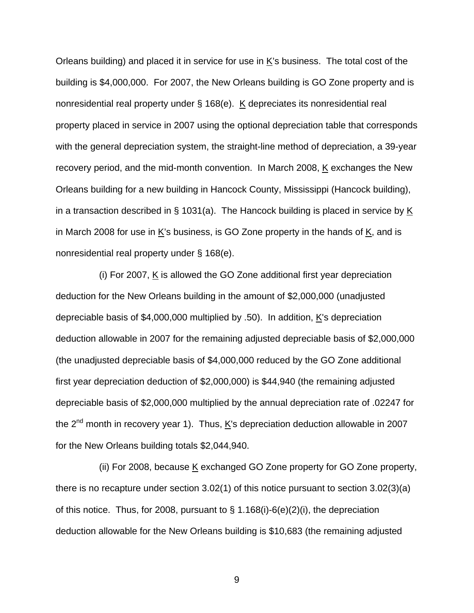Orleans building) and placed it in service for use in K's business. The total cost of the building is \$4,000,000. For 2007, the New Orleans building is GO Zone property and is nonresidential real property under § 168(e). K depreciates its nonresidential real property placed in service in 2007 using the optional depreciation table that corresponds with the general depreciation system, the straight-line method of depreciation, a 39-year recovery period, and the mid-month convention. In March 2008, K exchanges the New Orleans building for a new building in Hancock County, Mississippi (Hancock building), in a transaction described in § 1031(a). The Hancock building is placed in service by K in March 2008 for use in  $K$ 's business, is GO Zone property in the hands of  $K$ , and is nonresidential real property under § 168(e).

 (i) For 2007, K is allowed the GO Zone additional first year depreciation deduction for the New Orleans building in the amount of \$2,000,000 (unadjusted depreciable basis of \$4,000,000 multiplied by .50). In addition, K's depreciation deduction allowable in 2007 for the remaining adjusted depreciable basis of \$2,000,000 (the unadjusted depreciable basis of \$4,000,000 reduced by the GO Zone additional first year depreciation deduction of \$2,000,000) is \$44,940 (the remaining adjusted depreciable basis of \$2,000,000 multiplied by the annual depreciation rate of .02247 for the  $2^{nd}$  month in recovery year 1). Thus,  $\underline{K}$ 's depreciation deduction allowable in 2007 for the New Orleans building totals \$2,044,940.

(ii) For 2008, because  $K$  exchanged GO Zone property for GO Zone property, there is no recapture under section 3.02(1) of this notice pursuant to section 3.02(3)(a) of this notice. Thus, for 2008, pursuant to § 1.168(i)-6(e)(2)(i), the depreciation deduction allowable for the New Orleans building is \$10,683 (the remaining adjusted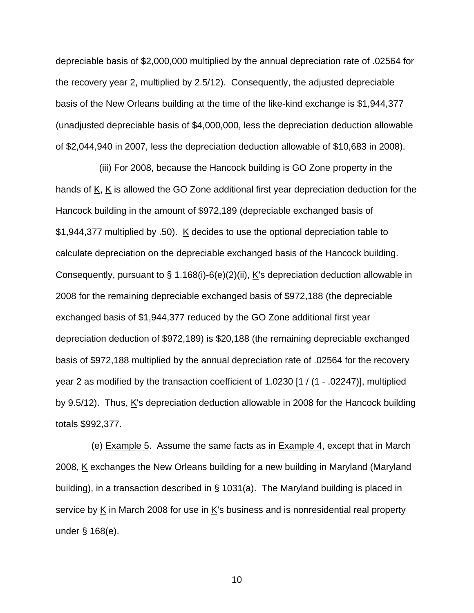depreciable basis of \$2,000,000 multiplied by the annual depreciation rate of .02564 for the recovery year 2, multiplied by 2.5/12). Consequently, the adjusted depreciable basis of the New Orleans building at the time of the like-kind exchange is \$1,944,377 (unadjusted depreciable basis of \$4,000,000, less the depreciation deduction allowable of \$2,044,940 in 2007, less the depreciation deduction allowable of \$10,683 in 2008).

 (iii) For 2008, because the Hancock building is GO Zone property in the hands of K, K is allowed the GO Zone additional first year depreciation deduction for the Hancock building in the amount of \$972,189 (depreciable exchanged basis of \$1,944,377 multiplied by .50). K decides to use the optional depreciation table to calculate depreciation on the depreciable exchanged basis of the Hancock building. Consequently, pursuant to § 1.168(i)-6(e)(2)(ii), K's depreciation deduction allowable in 2008 for the remaining depreciable exchanged basis of \$972,188 (the depreciable exchanged basis of \$1,944,377 reduced by the GO Zone additional first year depreciation deduction of \$972,189) is \$20,188 (the remaining depreciable exchanged basis of \$972,188 multiplied by the annual depreciation rate of .02564 for the recovery year 2 as modified by the transaction coefficient of 1.0230 [1 / (1 - .02247)], multiplied by 9.5/12). Thus,  $K$ 's depreciation deduction allowable in 2008 for the Hancock building totals \$992,377.

(e) Example 5. Assume the same facts as in Example 4, except that in March 2008, K exchanges the New Orleans building for a new building in Maryland (Maryland building), in a transaction described in § 1031(a). The Maryland building is placed in service by  $K$  in March 2008 for use in  $K$ 's business and is nonresidential real property under § 168(e).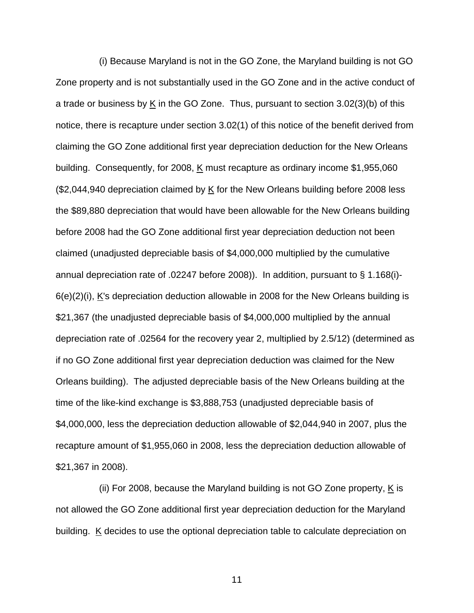(i) Because Maryland is not in the GO Zone, the Maryland building is not GO Zone property and is not substantially used in the GO Zone and in the active conduct of a trade or business by K in the GO Zone. Thus, pursuant to section 3.02(3)(b) of this notice, there is recapture under section 3.02(1) of this notice of the benefit derived from claiming the GO Zone additional first year depreciation deduction for the New Orleans building. Consequently, for 2008, K must recapture as ordinary income \$1,955,060 (\$2,044,940 depreciation claimed by K for the New Orleans building before 2008 less the \$89,880 depreciation that would have been allowable for the New Orleans building before 2008 had the GO Zone additional first year depreciation deduction not been claimed (unadjusted depreciable basis of \$4,000,000 multiplied by the cumulative annual depreciation rate of .02247 before 2008)). In addition, pursuant to § 1.168(i)- 6(e)(2)(i), K's depreciation deduction allowable in 2008 for the New Orleans building is \$21,367 (the unadjusted depreciable basis of \$4,000,000 multiplied by the annual depreciation rate of .02564 for the recovery year 2, multiplied by 2.5/12) (determined as if no GO Zone additional first year depreciation deduction was claimed for the New Orleans building). The adjusted depreciable basis of the New Orleans building at the time of the like-kind exchange is \$3,888,753 (unadjusted depreciable basis of \$4,000,000, less the depreciation deduction allowable of \$2,044,940 in 2007, plus the recapture amount of \$1,955,060 in 2008, less the depreciation deduction allowable of \$21,367 in 2008).

(ii) For 2008, because the Maryland building is not GO Zone property,  $K$  is not allowed the GO Zone additional first year depreciation deduction for the Maryland building.  $K$  decides to use the optional depreciation table to calculate depreciation on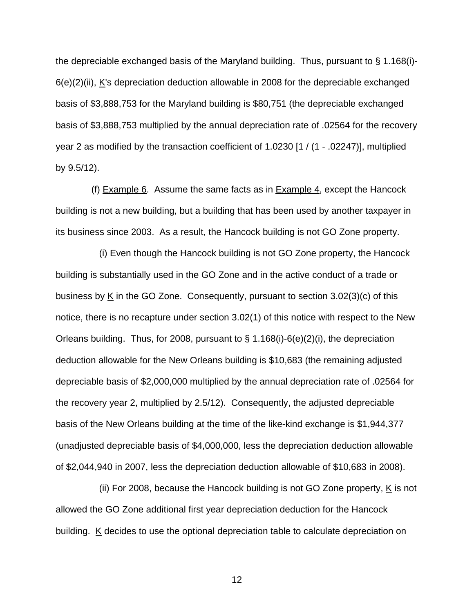the depreciable exchanged basis of the Maryland building. Thus, pursuant to § 1.168(i)- 6(e)(2)(ii), K's depreciation deduction allowable in 2008 for the depreciable exchanged basis of \$3,888,753 for the Maryland building is \$80,751 (the depreciable exchanged basis of \$3,888,753 multiplied by the annual depreciation rate of .02564 for the recovery year 2 as modified by the transaction coefficient of 1.0230 [1 / (1 - .02247)], multiplied by 9.5/12).

 (f) Example 6. Assume the same facts as in Example 4, except the Hancock building is not a new building, but a building that has been used by another taxpayer in its business since 2003. As a result, the Hancock building is not GO Zone property.

 (i) Even though the Hancock building is not GO Zone property, the Hancock building is substantially used in the GO Zone and in the active conduct of a trade or business by K in the GO Zone. Consequently, pursuant to section 3.02(3)(c) of this notice, there is no recapture under section 3.02(1) of this notice with respect to the New Orleans building. Thus, for 2008, pursuant to § 1.168(i)-6(e)(2)(i), the depreciation deduction allowable for the New Orleans building is \$10,683 (the remaining adjusted depreciable basis of \$2,000,000 multiplied by the annual depreciation rate of .02564 for the recovery year 2, multiplied by 2.5/12). Consequently, the adjusted depreciable basis of the New Orleans building at the time of the like-kind exchange is \$1,944,377 (unadjusted depreciable basis of \$4,000,000, less the depreciation deduction allowable of \$2,044,940 in 2007, less the depreciation deduction allowable of \$10,683 in 2008).

(ii) For 2008, because the Hancock building is not GO Zone property,  $K$  is not allowed the GO Zone additional first year depreciation deduction for the Hancock building.  $K$  decides to use the optional depreciation table to calculate depreciation on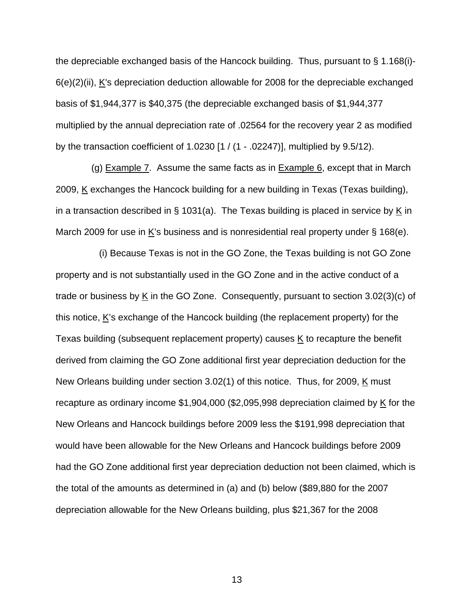the depreciable exchanged basis of the Hancock building. Thus, pursuant to § 1.168(i)- 6(e)(2)(ii), K's depreciation deduction allowable for 2008 for the depreciable exchanged basis of \$1,944,377 is \$40,375 (the depreciable exchanged basis of \$1,944,377 multiplied by the annual depreciation rate of .02564 for the recovery year 2 as modified by the transaction coefficient of 1.0230 [1 / (1 - .02247)], multiplied by 9.5/12).

(g) Example 7. Assume the same facts as in Example  $6$ , except that in March 2009, K exchanges the Hancock building for a new building in Texas (Texas building), in a transaction described in § 1031(a). The Texas building is placed in service by K in March 2009 for use in  $K$ 's business and is nonresidential real property under § 168(e).

 (i) Because Texas is not in the GO Zone, the Texas building is not GO Zone property and is not substantially used in the GO Zone and in the active conduct of a trade or business by K in the GO Zone. Consequently, pursuant to section 3.02(3)(c) of this notice, K's exchange of the Hancock building (the replacement property) for the Texas building (subsequent replacement property) causes  $K$  to recapture the benefit derived from claiming the GO Zone additional first year depreciation deduction for the New Orleans building under section 3.02(1) of this notice. Thus, for 2009, K must recapture as ordinary income  $$1,904,000$  (\$2,095,998 depreciation claimed by K for the New Orleans and Hancock buildings before 2009 less the \$191,998 depreciation that would have been allowable for the New Orleans and Hancock buildings before 2009 had the GO Zone additional first year depreciation deduction not been claimed, which is the total of the amounts as determined in (a) and (b) below (\$89,880 for the 2007 depreciation allowable for the New Orleans building, plus \$21,367 for the 2008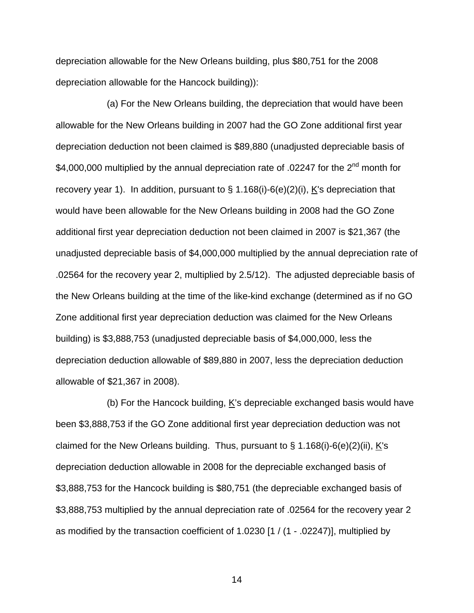depreciation allowable for the New Orleans building, plus \$80,751 for the 2008 depreciation allowable for the Hancock building)):

 (a) For the New Orleans building, the depreciation that would have been allowable for the New Orleans building in 2007 had the GO Zone additional first year depreciation deduction not been claimed is \$89,880 (unadjusted depreciable basis of \$4,000,000 multiplied by the annual depreciation rate of .02247 for the 2<sup>nd</sup> month for recovery year 1). In addition, pursuant to  $\S$  1.168(i)-6(e)(2)(i), K's depreciation that would have been allowable for the New Orleans building in 2008 had the GO Zone additional first year depreciation deduction not been claimed in 2007 is \$21,367 (the unadjusted depreciable basis of \$4,000,000 multiplied by the annual depreciation rate of .02564 for the recovery year 2, multiplied by 2.5/12). The adjusted depreciable basis of the New Orleans building at the time of the like-kind exchange (determined as if no GO Zone additional first year depreciation deduction was claimed for the New Orleans building) is \$3,888,753 (unadjusted depreciable basis of \$4,000,000, less the depreciation deduction allowable of \$89,880 in 2007, less the depreciation deduction allowable of \$21,367 in 2008).

 (b) For the Hancock building, K's depreciable exchanged basis would have been \$3,888,753 if the GO Zone additional first year depreciation deduction was not claimed for the New Orleans building. Thus, pursuant to  $\S$  1.168(i)-6(e)(2)(ii), K's depreciation deduction allowable in 2008 for the depreciable exchanged basis of \$3,888,753 for the Hancock building is \$80,751 (the depreciable exchanged basis of \$3,888,753 multiplied by the annual depreciation rate of .02564 for the recovery year 2 as modified by the transaction coefficient of 1.0230 [1 / (1 - .02247)], multiplied by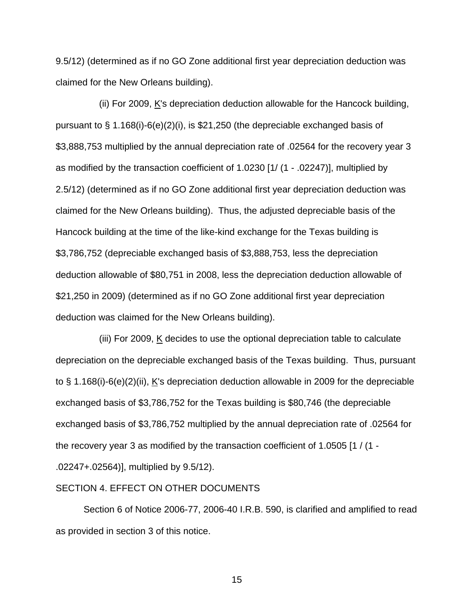9.5/12) (determined as if no GO Zone additional first year depreciation deduction was claimed for the New Orleans building).

 (ii) For 2009, K's depreciation deduction allowable for the Hancock building, pursuant to § 1.168(i)-6(e)(2)(i), is \$21,250 (the depreciable exchanged basis of \$3,888,753 multiplied by the annual depreciation rate of .02564 for the recovery year 3 as modified by the transaction coefficient of 1.0230 [1/ (1 - .02247)], multiplied by 2.5/12) (determined as if no GO Zone additional first year depreciation deduction was claimed for the New Orleans building). Thus, the adjusted depreciable basis of the Hancock building at the time of the like-kind exchange for the Texas building is \$3,786,752 (depreciable exchanged basis of \$3,888,753, less the depreciation deduction allowable of \$80,751 in 2008, less the depreciation deduction allowable of \$21,250 in 2009) (determined as if no GO Zone additional first year depreciation deduction was claimed for the New Orleans building).

(iii) For 2009,  $K$  decides to use the optional depreciation table to calculate depreciation on the depreciable exchanged basis of the Texas building. Thus, pursuant to § 1.168(i)-6(e)(2)(ii), K's depreciation deduction allowable in 2009 for the depreciable exchanged basis of \$3,786,752 for the Texas building is \$80,746 (the depreciable exchanged basis of \$3,786,752 multiplied by the annual depreciation rate of .02564 for the recovery year 3 as modified by the transaction coefficient of 1.0505 [1 / (1 - .02247+.02564)], multiplied by 9.5/12).

### SECTION 4. EFFECT ON OTHER DOCUMENTS

 Section 6 of Notice 2006-77, 2006-40 I.R.B. 590, is clarified and amplified to read as provided in section 3 of this notice.